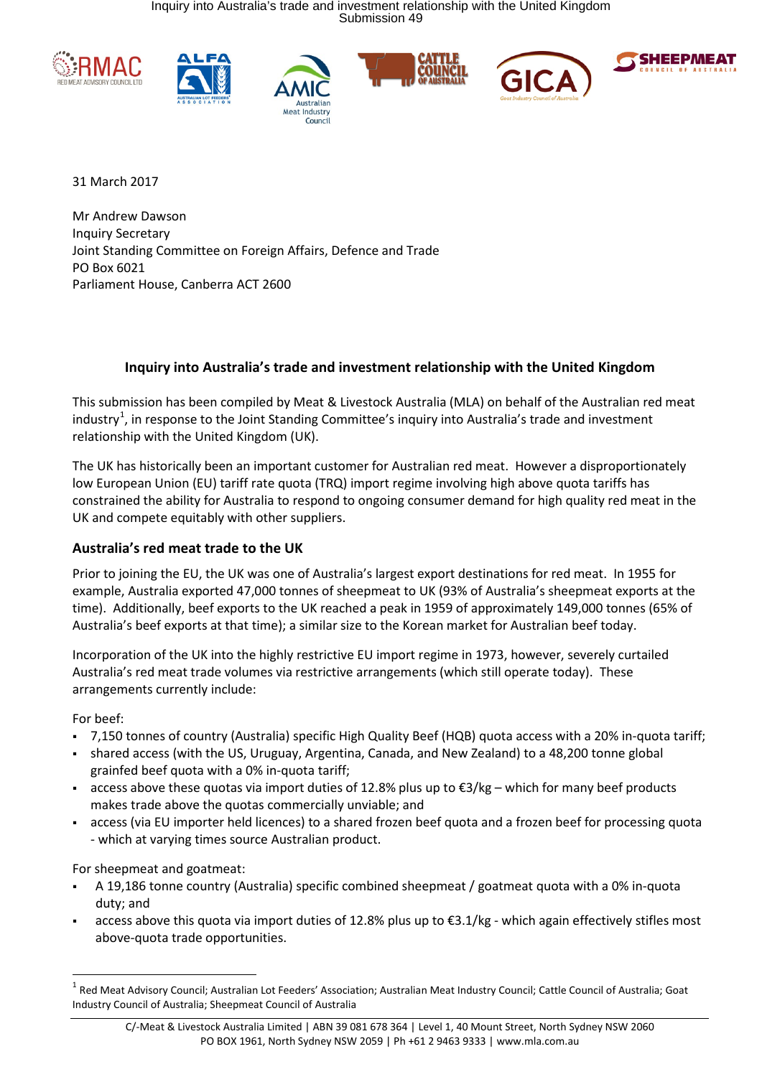









31 March 2017

Mr Andrew Dawson Inquiry Secretary Joint Standing Committee on Foreign Affairs, Defence and Trade PO Box 6021 Parliament House, Canberra ACT 2600

## **Inquiry into Australia's trade and investment relationship with the United Kingdom**

This submission has been compiled by Meat & Livestock Australia (MLA) on behalf of the Australian red meat industry<sup>1</sup>, in response to the Joint Standing Committee's inquiry into Australia's trade and investment relationship with the United Kingdom (UK).

The UK has historically been an important customer for Australian red meat. However a disproportionately low European Union (EU) tariff rate quota (TRQ) import regime involving high above quota tariffs has constrained the ability for Australia to respond to ongoing consumer demand for high quality red meat in the UK and compete equitably with other suppliers.

# **Australia's red meat trade to the UK**

Prior to joining the EU, the UK was one of Australia's largest export destinations for red meat. In 1955 for example, Australia exported 47,000 tonnes of sheepmeat to UK (93% of Australia's sheepmeat exports at the time). Additionally, beef exports to the UK reached a peak in 1959 of approximately 149,000 tonnes (65% of Australia's beef exports at that time); a similar size to the Korean market for Australian beef today.

Incorporation of the UK into the highly restrictive EU import regime in 1973, however, severely curtailed Australia's red meat trade volumes via restrictive arrangements (which still operate today). These arrangements currently include:

For beef:

**.** 

- 7,150 tonnes of country (Australia) specific High Quality Beef (HQB) quota access with a 20% in-quota tariff;
- shared access (with the US, Uruguay, Argentina, Canada, and New Zealand) to a 48,200 tonne global grainfed beef quota with a 0% in-quota tariff;
- access above these quotas via import duties of 12.8% plus up to  $\epsilon$ 3/kg which for many beef products makes trade above the quotas commercially unviable; and
- access (via EU importer held licences) to a shared frozen beef quota and a frozen beef for processing quota - which at varying times source Australian product.

For sheepmeat and goatmeat:

- A 19,186 tonne country (Australia) specific combined sheepmeat / goatmeat quota with a 0% in-quota duty; and
- access above this quota via import duties of 12.8% plus up to €3.1/kg which again effectively stifles most above-quota trade opportunities.

 $1$  Red Meat Advisory Council; Australian Lot Feeders' Association; Australian Meat Industry Council; Cattle Council of Australia; Goat Industry Council of Australia; Sheepmeat Council of Australia

C/-Meat & Livestock Australia Limited | ABN 39 081 678 364 | Level 1, 40 Mount Street, North Sydney NSW 2060 PO BOX 1961, North Sydney NSW 2059 | Ph +61 2 9463 9333 | www.mla.com.au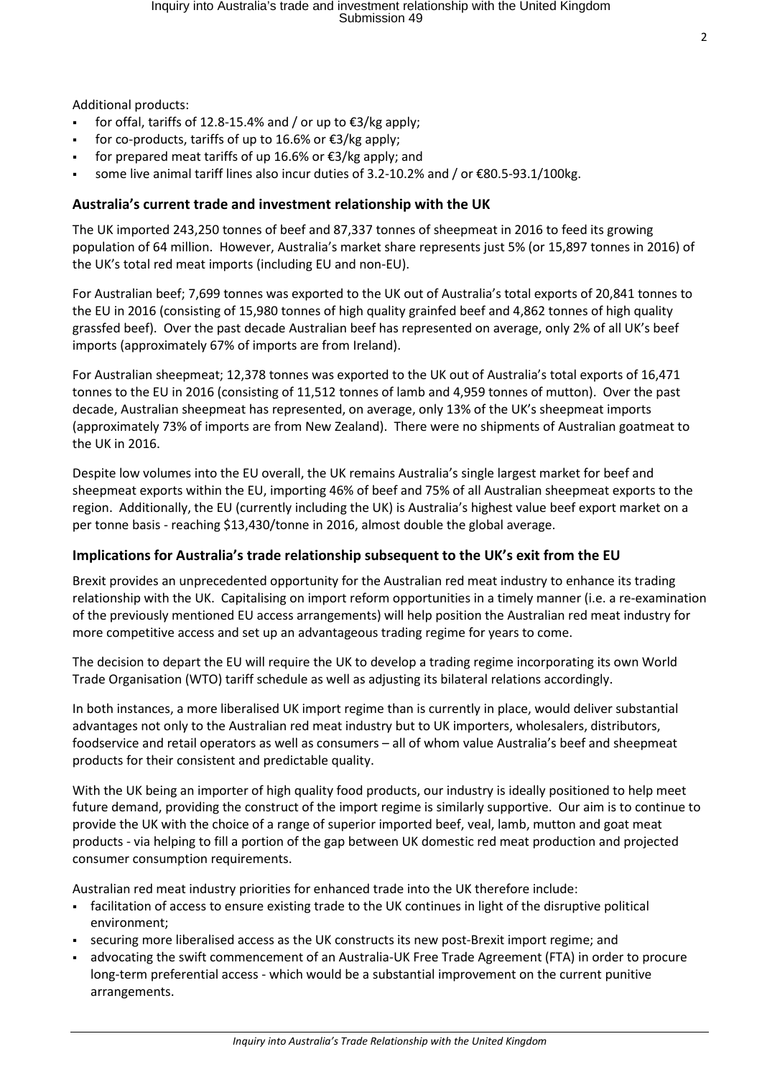Additional products:

- for offal, tariffs of 12.8-15.4% and / or up to €3/kg apply;
- for co-products, tariffs of up to 16.6% or  $\epsilon$ 3/kg apply;
- for prepared meat tariffs of up 16.6% or  $€3/kg$  apply; and
- some live animal tariff lines also incur duties of 3.2-10.2% and / or €80.5-93.1/100kg.

### **Australia's current trade and investment relationship with the UK**

The UK imported 243,250 tonnes of beef and 87,337 tonnes of sheepmeat in 2016 to feed its growing population of 64 million. However, Australia's market share represents just 5% (or 15,897 tonnes in 2016) of the UK's total red meat imports (including EU and non-EU).

For Australian beef; 7,699 tonnes was exported to the UK out of Australia's total exports of 20,841 tonnes to the EU in 2016 (consisting of 15,980 tonnes of high quality grainfed beef and 4,862 tonnes of high quality grassfed beef). Over the past decade Australian beef has represented on average, only 2% of all UK's beef imports (approximately 67% of imports are from Ireland).

For Australian sheepmeat; 12,378 tonnes was exported to the UK out of Australia's total exports of 16,471 tonnes to the EU in 2016 (consisting of 11,512 tonnes of lamb and 4,959 tonnes of mutton). Over the past decade, Australian sheepmeat has represented, on average, only 13% of the UK's sheepmeat imports (approximately 73% of imports are from New Zealand). There were no shipments of Australian goatmeat to the UK in 2016.

Despite low volumes into the EU overall, the UK remains Australia's single largest market for beef and sheepmeat exports within the EU, importing 46% of beef and 75% of all Australian sheepmeat exports to the region. Additionally, the EU (currently including the UK) is Australia's highest value beef export market on a per tonne basis - reaching \$13,430/tonne in 2016, almost double the global average.

#### **Implications for Australia's trade relationship subsequent to the UK's exit from the EU**

Brexit provides an unprecedented opportunity for the Australian red meat industry to enhance its trading relationship with the UK. Capitalising on import reform opportunities in a timely manner (i.e. a re-examination of the previously mentioned EU access arrangements) will help position the Australian red meat industry for more competitive access and set up an advantageous trading regime for years to come.

The decision to depart the EU will require the UK to develop a trading regime incorporating its own World Trade Organisation (WTO) tariff schedule as well as adjusting its bilateral relations accordingly.

In both instances, a more liberalised UK import regime than is currently in place, would deliver substantial advantages not only to the Australian red meat industry but to UK importers, wholesalers, distributors, foodservice and retail operators as well as consumers – all of whom value Australia's beef and sheepmeat products for their consistent and predictable quality.

With the UK being an importer of high quality food products, our industry is ideally positioned to help meet future demand, providing the construct of the import regime is similarly supportive. Our aim is to continue to provide the UK with the choice of a range of superior imported beef, veal, lamb, mutton and goat meat products - via helping to fill a portion of the gap between UK domestic red meat production and projected consumer consumption requirements.

Australian red meat industry priorities for enhanced trade into the UK therefore include:

- facilitation of access to ensure existing trade to the UK continues in light of the disruptive political environment;
- securing more liberalised access as the UK constructs its new post-Brexit import regime; and
- advocating the swift commencement of an Australia-UK Free Trade Agreement (FTA) in order to procure long-term preferential access - which would be a substantial improvement on the current punitive arrangements.